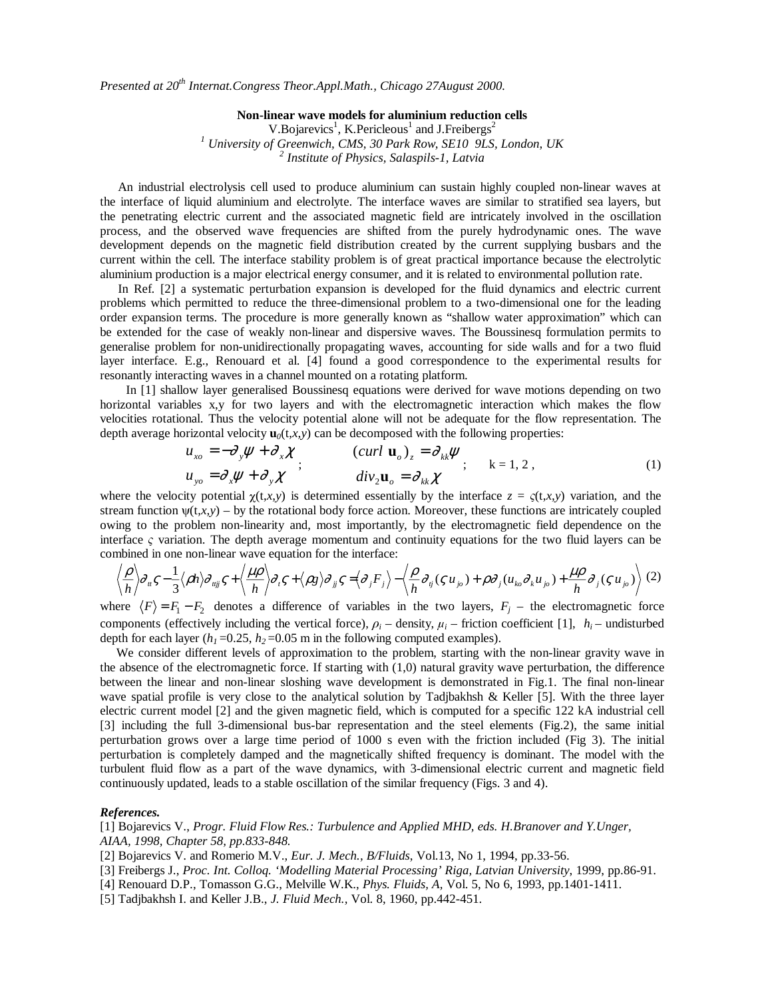*Presented at 20th Internat.Congress Theor.Appl.Math., Chicago 27August 2000.* 

**Non-linear wave models for aluminium reduction cells**  V.Bojarevics<sup>1</sup>, K.Pericleous<sup>1</sup> and J.Freibergs<sup>2</sup> <sup>1</sup> University of Greenwich, CMS, 30 Park Row, SE10 9LS, London, UK <sup>2</sup> Institute of Physics, Salaspils 1, Latvia  *Institute of Physics, Salaspils-1, Latvia* 

An industrial electrolysis cell used to produce aluminium can sustain highly coupled non-linear waves at the interface of liquid aluminium and electrolyte. The interface waves are similar to stratified sea layers, but the penetrating electric current and the associated magnetic field are intricately involved in the oscillation process, and the observed wave frequencies are shifted from the purely hydrodynamic ones. The wave development depends on the magnetic field distribution created by the current supplying busbars and the current within the cell. The interface stability problem is of great practical importance because the electrolytic aluminium production is a major electrical energy consumer, and it is related to environmental pollution rate.

In Ref. [2] a systematic perturbation expansion is developed for the fluid dynamics and electric current problems which permitted to reduce the three-dimensional problem to a two-dimensional one for the leading order expansion terms. The procedure is more generally known as "shallow water approximation" which can be extended for the case of weakly non-linear and dispersive waves. The Boussinesq formulation permits to generalise problem for non-unidirectionally propagating waves, accounting for side walls and for a two fluid layer interface. E.g., Renouard et al. [4] found a good correspondence to the experimental results for resonantly interacting waves in a channel mounted on a rotating platform.

 In [1] shallow layer generalised Boussinesq equations were derived for wave motions depending on two horizontal variables x,y for two layers and with the electromagnetic interaction which makes the flow velocities rotational. Thus the velocity potential alone will not be adequate for the flow representation. The depth average horizontal velocity  $\mathbf{u}_0(t,x,y)$  can be decomposed with the following properties:

$$
u_{xo} = -\partial_y \psi + \partial_x \chi
$$
  
\n
$$
u_{yo} = \partial_x \psi + \partial_y \chi
$$
  
\n
$$
(curl \mathbf{u}_o)_z = \partial_{kk} \psi
$$
  
\n
$$
div_2 \mathbf{u}_o = \partial_{kk} \chi
$$
  
\n
$$
k = 1, 2,
$$
  
\n
$$
(1)
$$

where the velocity potential  $\chi(t,x,y)$  is determined essentially by the interface  $z = \varsigma(t,x,y)$  variation, and the stream function  $\psi(t,x,y)$  – by the rotational body force action. Moreover, these functions are intricately coupled owing to the problem non-linearity and, most importantly, by the electromagnetic field dependence on the interface  $\varsigma$  variation. The depth average momentum and continuity equations for the two fluid layers can be combined in one non-linear wave equation for the interface:

$$
\left\langle \frac{\rho}{h} \right\rangle \partial_{u} \varsigma - \frac{1}{3} \langle \rho h \rangle \partial_{u_{ij}} \varsigma + \left\langle \frac{\mu \rho}{h} \right\rangle \partial_{v} \varsigma + \left\langle \rho g \right\rangle \partial_{v_{ij}} \varsigma = \left\langle \partial_{v} F_{j} \right\rangle - \left\langle \frac{\rho}{h} \partial_{v} (\varsigma u_{j_{0}}) + \rho \partial_{v} (u_{k_{0}} \partial_{k} u_{j_{0}}) + \frac{\mu \rho}{h} \partial_{v} (\varsigma u_{j_{0}}) \right\rangle (2)
$$

where  $\langle F \rangle = F_1 - F_2$  denotes a difference of variables in the two layers,  $F_j$  – the electromagnetic force components (effectively including the vertical force),  $\rho_i$  – density,  $\mu_i$  – friction coefficient [1],  $h_i$  – undisturbed depth for each layer  $(h_1 = 0.25, h_2 = 0.05$  m in the following computed examples).

 We consider different levels of approximation to the problem, starting with the non-linear gravity wave in the absence of the electromagnetic force. If starting with (1,0) natural gravity wave perturbation, the difference between the linear and non-linear sloshing wave development is demonstrated in Fig.1. The final non-linear wave spatial profile is very close to the analytical solution by Tadjbakhsh & Keller [5]. With the three layer electric current model [2] and the given magnetic field, which is computed for a specific 122 kA industrial cell [3] including the full 3-dimensional bus-bar representation and the steel elements (Fig.2), the same initial perturbation grows over a large time period of 1000 s even with the friction included (Fig 3). The initial perturbation is completely damped and the magnetically shifted frequency is dominant. The model with the turbulent fluid flow as a part of the wave dynamics, with 3-dimensional electric current and magnetic field continuously updated, leads to a stable oscillation of the similar frequency (Figs. 3 and 4).

## *References.*

[1] Bojarevics V., *Progr. Fluid Flow Res.: Turbulence and Applied MHD, eds. H.Branover and Y.Unger, AIAA, 1998, Chapter 58, pp.833-848.* 

[2] Bojarevics V. and Romerio M.V., *Eur. J. Mech., B/Fluids*, Vol.13, No 1, 1994, pp.33-56.

- [3] Freibergs J., *Proc. Int. Colloq. 'Modelling Material Processing' Riga, Latvian University*, 1999, pp.86-91.
- [4] Renouard D.P., Tomasson G.G., Melville W.K., *Phys. Fluids, A,* Vol. 5, No 6, 1993, pp.1401-1411.

[5] Tadjbakhsh I. and Keller J.B., *J. Fluid Mech.,* Vol. 8, 1960, pp.442-451.